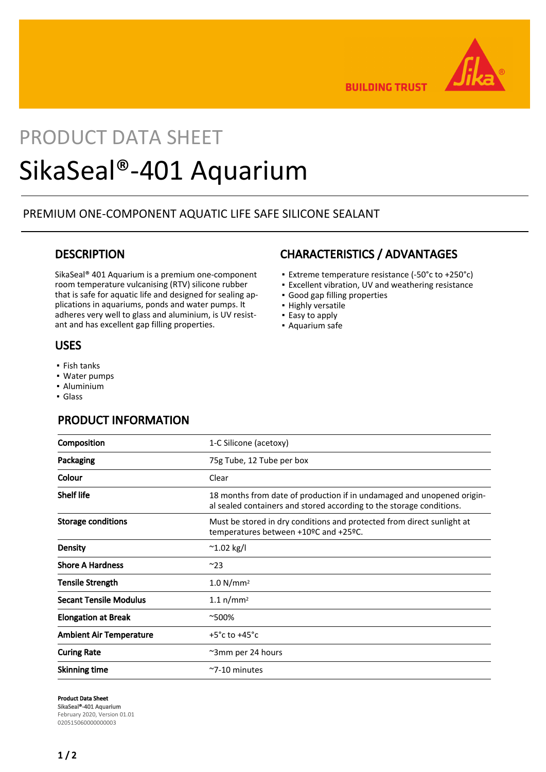

**BUILDING TRUST** 

# PRODUCT DATA SHEET SikaSeal®-401 Aquarium

## PREMIUM ONE-COMPONENT AQUATIC LIFE SAFE SILICONE SEALANT

## **DESCRIPTION**

SikaSeal® 401 Aquarium is a premium one-component room temperature vulcanising (RTV) silicone rubber that is safe for aquatic life and designed for sealing applications in aquariums, ponds and water pumps. It adheres very well to glass and aluminium, is UV resistant and has excellent gap filling properties.

### USES

- Fish tanks
- Water pumps
- Aluminium
- Glass

## PRODUCT INFORMATION

## **Composition** 1-C Silicone (acetoxy) Packaging **Packaging 12 Tube per box** 75g Tube, 12 Tube per box Colour Clear Shelf life 18 months from date of production if in undamaged and unopened original sealed containers and stored according to the storage conditions. Storage conditions **Must be stored in dry conditions and protected from direct sunlight at** temperatures between +10ºC and +25ºC. Density  $\sim$  1.02 kg/l Shore A Hardness  $\sim$ 23 Tensile Strength 1.0 N/mm<sup>2</sup> Secant Tensile Modulus 1.1 n/mm<sup>2</sup> Elongation at Break  $~7500\%$ Ambient Air Temperature  $+5^{\circ}$ c to  $+45^{\circ}$ c Curing Rate **Curing Rate 24 hours**  $\sim$ 3mm per 24 hours Skinning time  $\sim$ 7-10 minutes

#### Product Data Sheet

SikaSeal®-401 Aquarium February 2020, Version 01.01 020515060000000003

## CHARACTERISTICS / ADVANTAGES

- Extreme temperature resistance (-50°c to +250°c)
- **Excellent vibration, UV and weathering resistance**
- Good gap filling properties
- **·** Highly versatile
- Easy to apply
- **Aquarium safe**